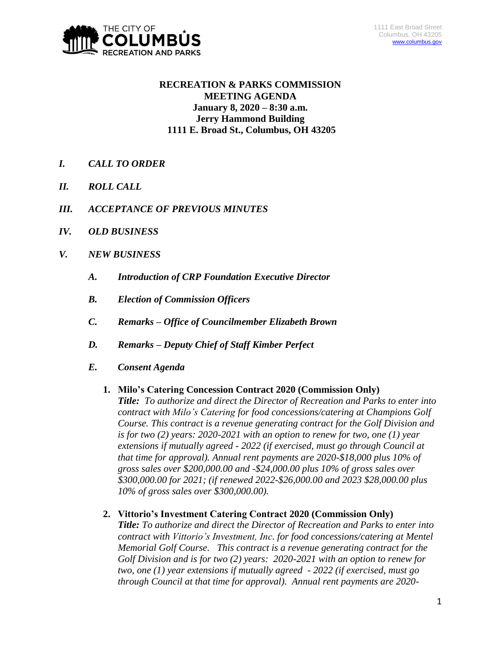

# **RECREATION & PARKS COMMISSION MEETING AGENDA January 8, 2020 – 8:30 a.m. Jerry Hammond Building 1111 E. Broad St., Columbus, OH 43205**

- *I. CALL TO ORDER*
- *II. ROLL CALL*
- *III. ACCEPTANCE OF PREVIOUS MINUTES*
- *IV. OLD BUSINESS*
- *V. NEW BUSINESS*
	- *A. Introduction of CRP Foundation Executive Director*
	- *B. Election of Commission Officers*
	- *C. Remarks – Office of Councilmember Elizabeth Brown*
	- *D. Remarks – Deputy Chief of Staff Kimber Perfect*
	- *E. Consent Agenda*

# **1. Milo's Catering Concession Contract 2020 (Commission Only)** *Title: To authorize and direct the Director of Recreation and Parks to enter into contract with Milo's Catering for food concessions/catering at Champions Golf Course. This contract is a revenue generating contract for the Golf Division and is for two (2) years: 2020-2021 with an option to renew for two, one (1) year extensions if mutually agreed - 2022 (if exercised, must go through Council at that time for approval). Annual rent payments are 2020-\$18,000 plus 10% of gross sales over \$200,000.00 and -\$24,000.00 plus 10% of gross sales over \$300,000.00 for 2021; (if renewed 2022-\$26,000.00 and 2023 \$28,000.00 plus 10% of gross sales over \$300,000.00).*

**2. Vittorio's Investment Catering Contract 2020 (Commission Only)**

*Title: To authorize and direct the Director of Recreation and Parks to enter into contract with Vittorio's Investment, Inc. for food concessions/catering at Mentel Memorial Golf Course. This contract is a revenue generating contract for the Golf Division and is for two (2) years: 2020-2021 with an option to renew for two, one (1) year extensions if mutually agreed - 2022 (if exercised, must go through Council at that time for approval). Annual rent payments are 2020-*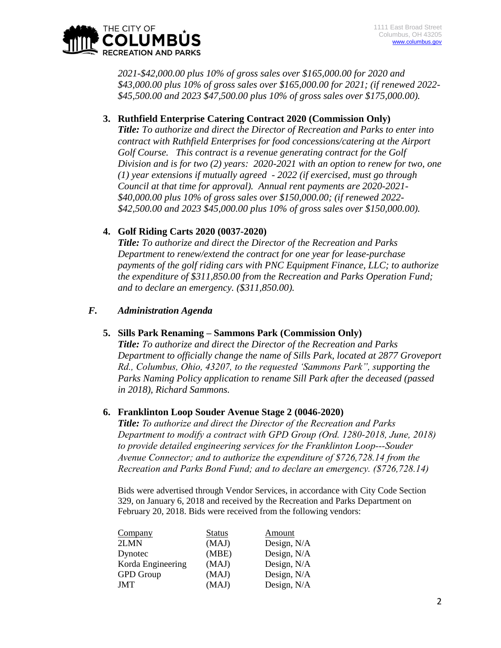

*2021-\$42,000.00 plus 10% of gross sales over \$165,000.00 for 2020 and \$43,000.00 plus 10% of gross sales over \$165,000.00 for 2021; (if renewed 2022- \$45,500.00 and 2023 \$47,500.00 plus 10% of gross sales over \$175,000.00).*

# **3. Ruthfield Enterprise Catering Contract 2020 (Commission Only)**

*Title: To authorize and direct the Director of Recreation and Parks to enter into contract with Ruthfield Enterprises for food concessions/catering at the Airport Golf Course. This contract is a revenue generating contract for the Golf Division and is for two (2) years: 2020-2021 with an option to renew for two, one (1) year extensions if mutually agreed - 2022 (if exercised, must go through Council at that time for approval). Annual rent payments are 2020-2021- \$40,000.00 plus 10% of gross sales over \$150,000.00; (if renewed 2022- \$42,500.00 and 2023 \$45,000.00 plus 10% of gross sales over \$150,000.00).*

## **4. Golf Riding Carts 2020 (0037-2020)**

*Title: To authorize and direct the Director of the Recreation and Parks Department to renew/extend the contract for one year for lease-purchase payments of the golf riding cars with PNC Equipment Finance, LLC; to authorize the expenditure of \$311,850.00 from the Recreation and Parks Operation Fund; and to declare an emergency. (\$311,850.00).*

### *F. Administration Agenda*

### **5. Sills Park Renaming – Sammons Park (Commission Only)**

*Title: To authorize and direct the Director of the Recreation and Parks Department to officially change the name of Sills Park, located at 2877 Groveport Rd., Columbus, Ohio, 43207, to the requested 'Sammons Park", supporting the Parks Naming Policy application to rename Sill Park after the deceased (passed in 2018), Richard Sammons.* 

### **6. Franklinton Loop Souder Avenue Stage 2 (0046-2020)**

*Title: To authorize and direct the Director of the Recreation and Parks Department to modify a contract with GPD Group (Ord. 1280-2018, June, 2018) to provide detailed engineering services for the Franklinton Loop---Souder Avenue Connector; and to authorize the expenditure of \$726,728.14 from the Recreation and Parks Bond Fund; and to declare an emergency. (\$726,728.14)*

Bids were advertised through Vendor Services, in accordance with City Code Section 329, on January 6, 2018 and received by the Recreation and Parks Department on February 20, 2018. Bids were received from the following vendors:

| Company           | <b>Status</b> | Amount      |
|-------------------|---------------|-------------|
| 2LMN              | (MAJ)         | Design, N/A |
| Dynotec           | (MBE)         | Design, N/A |
| Korda Engineering | (MAJ)         | Design, N/A |
| <b>GPD</b> Group  | (MAJ)         | Design, N/A |
| <b>JMT</b>        | (MAJ)         | Design, N/A |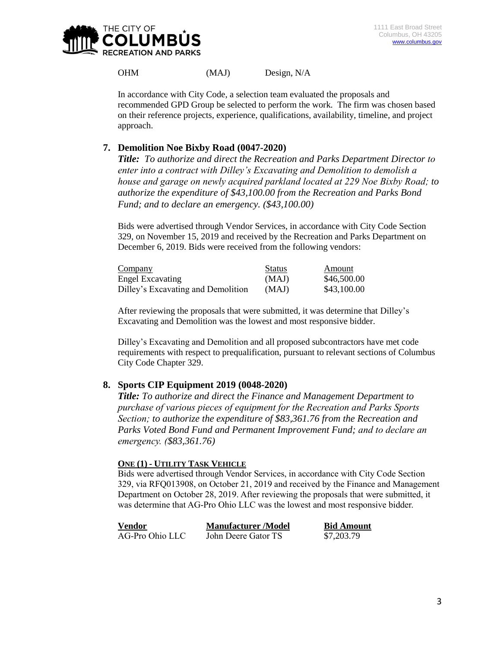

OHM (MAJ) Design, N/A

In accordance with City Code, a selection team evaluated the proposals and recommended GPD Group be selected to perform the work. The firm was chosen based on their reference projects, experience, qualifications, availability, timeline, and project approach.

# **7. Demolition Noe Bixby Road (0047-2020)**

*Title: To authorize and direct the Recreation and Parks Department Director to enter into a contract with Dilley's Excavating and Demolition to demolish a house and garage on newly acquired parkland located at 229 Noe Bixby Road; to authorize the expenditure of \$43,100.00 from the Recreation and Parks Bond Fund; and to declare an emergency. (\$43,100.00)*

Bids were advertised through Vendor Services, in accordance with City Code Section 329, on November 15, 2019 and received by the Recreation and Parks Department on December 6, 2019. Bids were received from the following vendors:

| Company                            | <b>Status</b> | Amount      |
|------------------------------------|---------------|-------------|
| Engel Excavating                   | (MAJ)         | \$46,500.00 |
| Dilley's Excavating and Demolition | (MAJ)         | \$43,100.00 |

After reviewing the proposals that were submitted, it was determine that Dilley's Excavating and Demolition was the lowest and most responsive bidder.

Dilley's Excavating and Demolition and all proposed subcontractors have met code requirements with respect to prequalification, pursuant to relevant sections of Columbus City Code Chapter 329.

# **8. Sports CIP Equipment 2019 (0048-2020)**

*Title: To authorize and direct the Finance and Management Department to purchase of various pieces of equipment for the Recreation and Parks Sports Section; to authorize the expenditure of \$83,361.76 from the Recreation and Parks Voted Bond Fund and Permanent Improvement Fund; and to declare an emergency. (\$83,361.76)*

### **ONE (1) - UTILITY TASK VEHICLE**

Bids were advertised through Vendor Services, in accordance with City Code Section 329, via RFQ013908, on October 21, 2019 and received by the Finance and Management Department on October 28, 2019. After reviewing the proposals that were submitted, it was determine that AG-Pro Ohio LLC was the lowest and most responsive bidder.

| Vendor          | <b>Manufacturer</b> /Model | <b>Bid Amount</b> |
|-----------------|----------------------------|-------------------|
| AG-Pro Ohio LLC | John Deere Gator TS        | \$7,203.79        |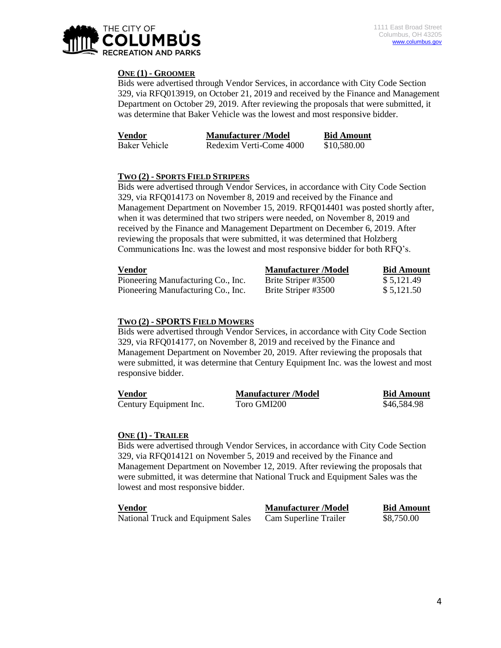

#### **ONE (1) - GROOMER**

Bids were advertised through Vendor Services, in accordance with City Code Section 329, via RFQ013919, on October 21, 2019 and received by the Finance and Management Department on October 29, 2019. After reviewing the proposals that were submitted, it was determine that Baker Vehicle was the lowest and most responsive bidder.

| Vendor        | <b>Manufacturer</b> /Model | <b>Bid Amount</b> |
|---------------|----------------------------|-------------------|
| Baker Vehicle | Redexim Verti-Come 4000    | \$10,580.00       |

#### **TWO (2) - SPORTS FIELD STRIPERS**

Bids were advertised through Vendor Services, in accordance with City Code Section 329, via RFQ014173 on November 8, 2019 and received by the Finance and Management Department on November 15, 2019. RFQ014401 was posted shortly after, when it was determined that two stripers were needed, on November 8, 2019 and received by the Finance and Management Department on December 6, 2019. After reviewing the proposals that were submitted, it was determined that Holzberg Communications Inc. was the lowest and most responsive bidder for both RFQ's.

| Vendor                             | <b>Manufacturer/Model</b> | <b>Bid Amount</b> |
|------------------------------------|---------------------------|-------------------|
| Pioneering Manufacturing Co., Inc. | Brite Striper #3500       | \$5.121.49        |
| Pioneering Manufacturing Co., Inc. | Brite Striper #3500       | \$5,121.50        |

#### **TWO (2) - SPORTS FIELD MOWERS**

Bids were advertised through Vendor Services, in accordance with City Code Section 329, via RFQ014177, on November 8, 2019 and received by the Finance and Management Department on November 20, 2019. After reviewing the proposals that were submitted, it was determine that Century Equipment Inc. was the lowest and most responsive bidder.

| Vendor                 | <b>Manufacturer</b> /Model | <b>Bid Amount</b> |
|------------------------|----------------------------|-------------------|
| Century Equipment Inc. | Toro GMI200                | \$46,584.98       |

#### **ONE (1) - TRAILER**

Bids were advertised through Vendor Services, in accordance with City Code Section 329, via RFQ014121 on November 5, 2019 and received by the Finance and Management Department on November 12, 2019. After reviewing the proposals that were submitted, it was determine that National Truck and Equipment Sales was the lowest and most responsive bidder.

| <b>Vendor</b>                      | <b>Manufacturer</b> /Model | <b>Bid Amount</b> |
|------------------------------------|----------------------------|-------------------|
| National Truck and Equipment Sales | Cam Superline Trailer      | \$8,750.00        |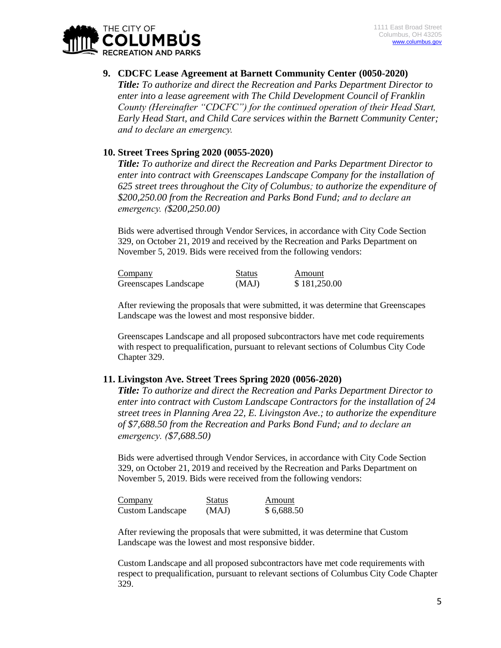

**9. CDCFC Lease Agreement at Barnett Community Center (0050-2020)** *Title: To authorize and direct the Recreation and Parks Department Director to enter into a lease agreement with The Child Development Council of Franklin County (Hereinafter "CDCFC") for the continued operation of their Head Start, Early Head Start, and Child Care services within the Barnett Community Center; and to declare an emergency.*

# **10. Street Trees Spring 2020 (0055-2020)**

*Title: To authorize and direct the Recreation and Parks Department Director to enter into contract with Greenscapes Landscape Company for the installation of 625 street trees throughout the City of Columbus; to authorize the expenditure of \$200,250.00 from the Recreation and Parks Bond Fund; and to declare an emergency. (\$200,250.00)*

Bids were advertised through Vendor Services, in accordance with City Code Section 329, on October 21, 2019 and received by the Recreation and Parks Department on November 5, 2019. Bids were received from the following vendors:

| Company               | <b>Status</b> | Amount       |
|-----------------------|---------------|--------------|
| Greenscapes Landscape | (MAJ)         | \$181,250.00 |

After reviewing the proposals that were submitted, it was determine that Greenscapes Landscape was the lowest and most responsive bidder.

Greenscapes Landscape and all proposed subcontractors have met code requirements with respect to prequalification, pursuant to relevant sections of Columbus City Code Chapter 329.

### **11. Livingston Ave. Street Trees Spring 2020 (0056-2020)**

*Title: To authorize and direct the Recreation and Parks Department Director to enter into contract with Custom Landscape Contractors for the installation of 24 street trees in Planning Area 22, E. Livingston Ave.; to authorize the expenditure of \$7,688.50 from the Recreation and Parks Bond Fund; and to declare an emergency. (\$7,688.50)*

Bids were advertised through Vendor Services, in accordance with City Code Section 329, on October 21, 2019 and received by the Recreation and Parks Department on November 5, 2019. Bids were received from the following vendors:

| Company                 | <b>Status</b> | Amount     |
|-------------------------|---------------|------------|
| <b>Custom Landscape</b> | (MAJ)         | \$6,688.50 |

After reviewing the proposals that were submitted, it was determine that Custom Landscape was the lowest and most responsive bidder.

Custom Landscape and all proposed subcontractors have met code requirements with respect to prequalification, pursuant to relevant sections of Columbus City Code Chapter 329.